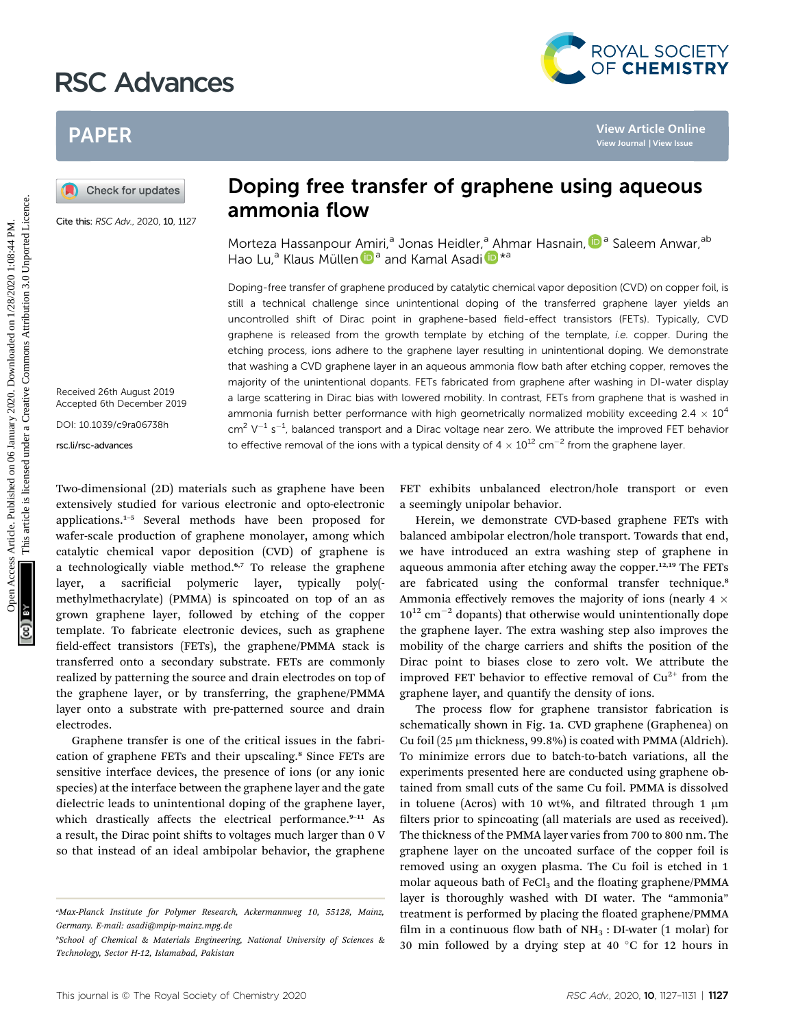## RSC Advances



# PAPER

Cite this: RSC Adv., 2020, 10, 1127

Received 26th August 2019 Accepted 6th December 2019

DOI: 10.1039/c9ra06738h

rsc.li/rsc-advances

# ammonia flow

Morteza Hassanpour [Am](http://orcid.org/0000-0001-6630-8786)iri,<sup>a</sup> Jonas Heidler,<sup>a</sup> [A](http://orcid.org/0000-0003-0447-4337)hmar Hasnain, <sup>Da</sup> Saleem Anwar, ab Hao Lu,<sup>a</sup> Klaus Müllen <sup>in a</sup> and Kamal Asadi <sup>in \*a</sup>

Doping-free transfer of graphene produced by catalytic chemical vapor deposition (CVD) on copper foil, is still a technical challenge since unintentional doping of the transferred graphene layer yields an uncontrolled shift of Dirac point in graphene-based field-effect transistors (FETs). Typically, CVD graphene is released from the growth template by etching of the template, *i.e.* copper. During the etching process, ions adhere to the graphene layer resulting in unintentional doping. We demonstrate that washing a CVD graphene layer in an aqueous ammonia flow bath after etching copper, removes the majority of the unintentional dopants. FETs fabricated from graphene after washing in DI-water display a large scattering in Dirac bias with lowered mobility. In contrast, FETs from graphene that is washed in ammonia furnish better performance with high geometrically normalized mobility exceeding  $2.4 \times 10^4$  $\text{cm}^2$  V<sup>-1</sup> s<sup>-1</sup>, balanced transport and a Dirac voltage near zero. We attribute the improved FET behavior to effective removal of the ions with a typical density of  $4 \times 10^{12}$  cm<sup>-2</sup> from the graphene layer. **PAPER**<br> **Consider the control of the control of the control of the control of the control of the control of the control of the control of the control of the control of the control of the control of the control of the con** 

Two-dimensional (2D) materials such as graphene have been extensively studied for various electronic and opto-electronic applications.<sup>1</sup>–<sup>5</sup> Several methods have been proposed for wafer-scale production of graphene monolayer, among which catalytic chemical vapor deposition (CVD) of graphene is a technologically viable method.<sup>6,7</sup> To release the graphene layer, a sacrificial polymeric layer, typically poly(methylmethacrylate) (PMMA) is spincoated on top of an as grown graphene layer, followed by etching of the copper template. To fabricate electronic devices, such as graphene field-effect transistors (FETs), the graphene/PMMA stack is transferred onto a secondary substrate. FETs are commonly realized by patterning the source and drain electrodes on top of the graphene layer, or by transferring, the graphene/PMMA layer onto a substrate with pre-patterned source and drain electrodes.

Graphene transfer is one of the critical issues in the fabrication of graphene FETs and their upscaling.<sup>8</sup> Since FETs are sensitive interface devices, the presence of ions (or any ionic species) at the interface between the graphene layer and the gate dielectric leads to unintentional doping of the graphene layer, which drastically affects the electrical performance.<sup>9-11</sup> As a result, the Dirac point shifts to voltages much larger than 0 V so that instead of an ideal ambipolar behavior, the graphene FET exhibits unbalanced electron/hole transport or even a seemingly unipolar behavior.

Herein, we demonstrate CVD-based graphene FETs with balanced ambipolar electron/hole transport. Towards that end, we have introduced an extra washing step of graphene in aqueous ammonia after etching away the copper. $12,19$  The FETs are fabricated using the conformal transfer technique.<sup>8</sup> Ammonia effectively removes the majority of ions (nearly  $4 \times$  $10^{12}$  cm<sup>-2</sup> dopants) that otherwise would unintentionally dope the graphene layer. The extra washing step also improves the mobility of the charge carriers and shifts the position of the Dirac point to biases close to zero volt. We attribute the improved FET behavior to effective removal of  $Cu^{2+}$  from the graphene layer, and quantify the density of ions.

The process flow for graphene transistor fabrication is schematically shown in Fig. 1a. CVD graphene (Graphenea) on Cu foil (25  $\mu$ m thickness, 99.8%) is coated with PMMA (Aldrich). To minimize errors due to batch-to-batch variations, all the experiments presented here are conducted using graphene obtained from small cuts of the same Cu foil. PMMA is dissolved in toluene (Acros) with 10 wt%, and filtrated through 1  $\mu$ m filters prior to spincoating (all materials are used as received). The thickness of the PMMA layer varies from 700 to 800 nm. The graphene layer on the uncoated surface of the copper foil is removed using an oxygen plasma. The Cu foil is etched in 1 molar aqueous bath of  $FeCl<sub>3</sub>$  and the floating graphene/PMMA layer is thoroughly washed with DI water. The "ammonia" treatment is performed by placing the floated graphene/PMMA film in a continuous flow bath of  $NH<sub>3</sub>$ : DI-water (1 molar) for 30 min followed by a drying step at 40  $\degree$ C for 12 hours in

a Max-Planck Institute for Polymer Research, Ackermannweg 10, 55128, Mainz, Germany. E-mail: asadi@mpip-mainz.mpg.de

b School of Chemical & Materials Engineering, National University of Sciences & Technology, Sector H-12, Islamabad, Pakistan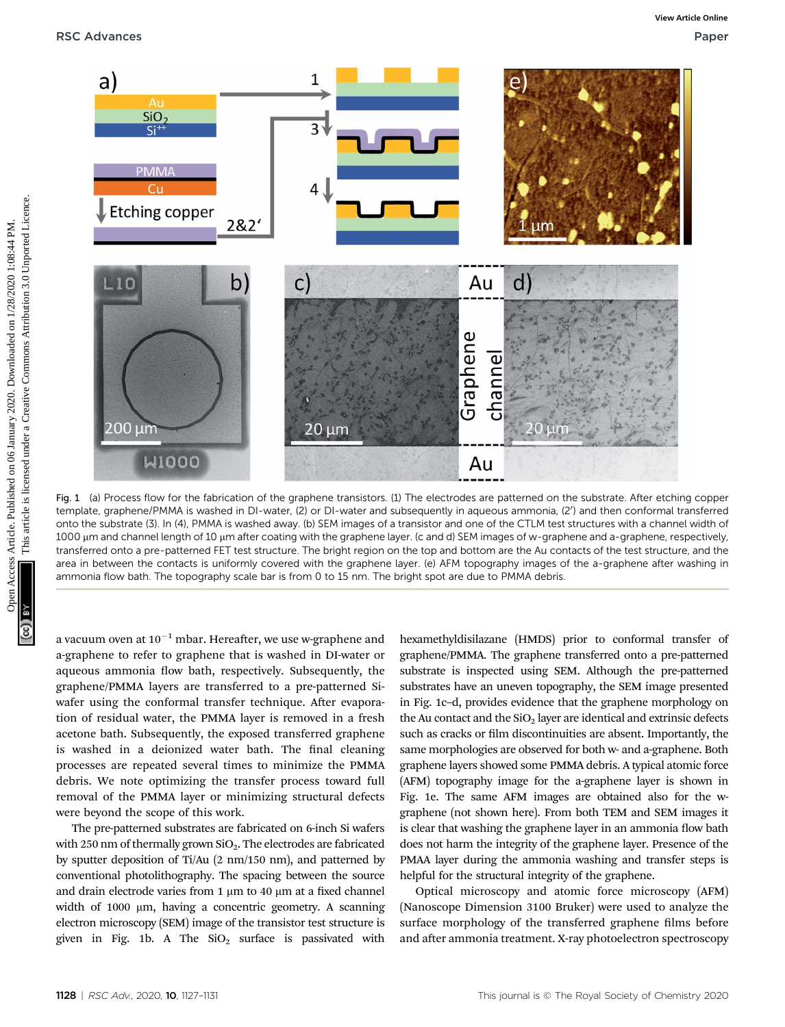

Fig. 1 (a) Process flow for the fabrication of the graphene transistors. (1) The electrodes are patterned on the substrate. After etching copper template, graphene/PMMA is washed in DI-water, (2) or DI-water and subsequently in aqueous ammonia, (2') and then conformal transferred onto the substrate (3). In (4), PMMA is washed away. (b) SEM images of a transistor and one of the CTLM test structures with a channel width of 1000 µm and channel length of 10 µm after coating with the graphene layer. (c and d) SEM images of w-graphene and a-graphene, respectively, transferred onto a pre-patterned FET test structure. The bright region on the top and bottom are the Au contacts of the test structure, and the area in between the contacts is uniformly covered with the graphene layer. (e) AFM topography images of the a-graphene after washing in ammonia flow bath. The topography scale bar is from 0 to 15 nm. The bright spot are due to PMMA debris.

a vacuum oven at  $10^{-1}$  mbar. Hereafter, we use w-graphene and a-graphene to refer to graphene that is washed in DI-water or aqueous ammonia flow bath, respectively. Subsequently, the graphene/PMMA layers are transferred to a pre-patterned Siwafer using the conformal transfer technique. After evaporation of residual water, the PMMA layer is removed in a fresh acetone bath. Subsequently, the exposed transferred graphene is washed in a deionized water bath. The final cleaning processes are repeated several times to minimize the PMMA debris. We note optimizing the transfer process toward full removal of the PMMA layer or minimizing structural defects were beyond the scope of this work.

The pre-patterned substrates are fabricated on 6-inch Si wafers with 250 nm of thermally grown  $SiO<sub>2</sub>$ . The electrodes are fabricated by sputter deposition of Ti/Au (2 nm/150 nm), and patterned by conventional photolithography. The spacing between the source and drain electrode varies from 1  $\mu$ m to 40  $\mu$ m at a fixed channel width of 1000  $\mu$ m, having a concentric geometry. A scanning electron microscopy (SEM) image of the transistor test structure is given in Fig. 1b. A The  $SiO<sub>2</sub>$  surface is passivated with

hexamethyldisilazane (HMDS) prior to conformal transfer of graphene/PMMA. The graphene transferred onto a pre-patterned substrate is inspected using SEM. Although the pre-patterned substrates have an uneven topography, the SEM image presented in Fig. 1c–d, provides evidence that the graphene morphology on the Au contact and the  $SiO<sub>2</sub>$  layer are identical and extrinsic defects such as cracks or film discontinuities are absent. Importantly, the same morphologies are observed for both w- and a-graphene. Both graphene layers showed some PMMA debris. A typical atomic force (AFM) topography image for the a-graphene layer is shown in Fig. 1e. The same AFM images are obtained also for the wgraphene (not shown here). From both TEM and SEM images it is clear that washing the graphene layer in an ammonia flow bath does not harm the integrity of the graphene layer. Presence of the PMAA layer during the ammonia washing and transfer steps is helpful for the structural integrity of the graphene.

Optical microscopy and atomic force microscopy (AFM) (Nanoscope Dimension 3100 Bruker) were used to analyze the surface morphology of the transferred graphene films before and after ammonia treatment. X-ray photoelectron spectroscopy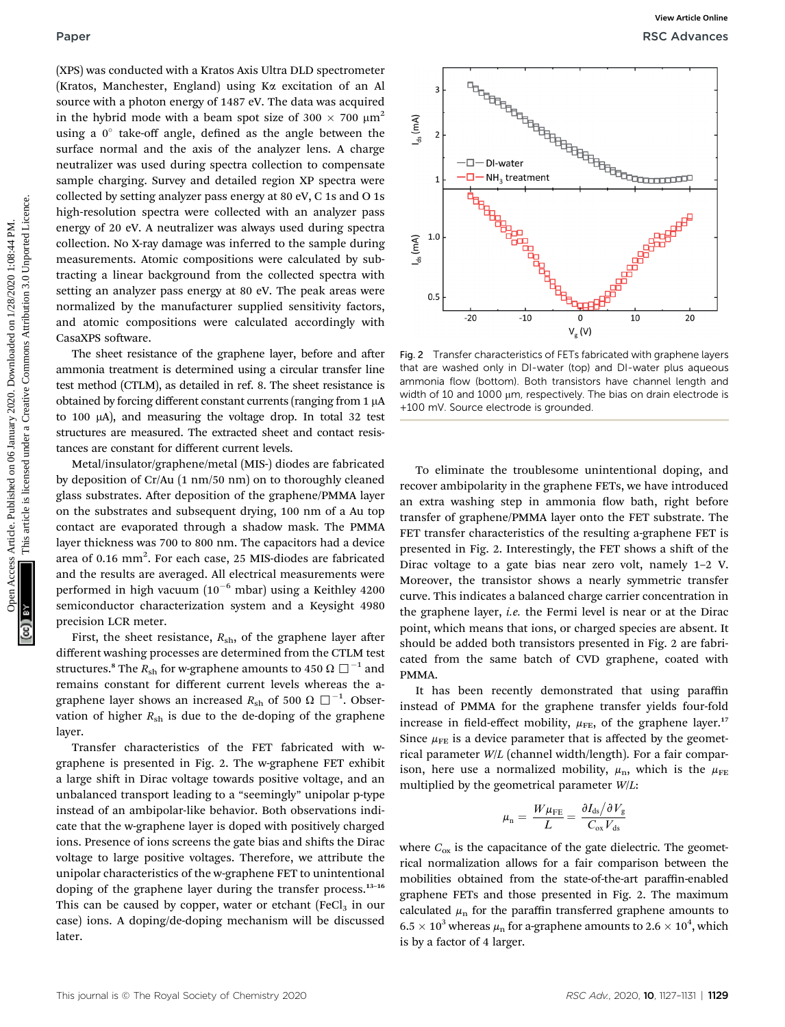(XPS) was conducted with a Kratos Axis Ultra DLD spectrometer (Kratos, Manchester, England) using Ka excitation of an Al source with a photon energy of 1487 eV. The data was acquired in the hybrid mode with a beam spot size of 300  $\times$  700  $\mu$ m<sup>2</sup> using a  $0^\circ$  take-off angle, defined as the angle between the surface normal and the axis of the analyzer lens. A charge neutralizer was used during spectra collection to compensate sample charging. Survey and detailed region XP spectra were collected by setting analyzer pass energy at 80 eV, C 1s and O 1s high-resolution spectra were collected with an analyzer pass energy of 20 eV. A neutralizer was always used during spectra collection. No X-ray damage was inferred to the sample during measurements. Atomic compositions were calculated by subtracting a linear background from the collected spectra with setting an analyzer pass energy at 80 eV. The peak areas were normalized by the manufacturer supplied sensitivity factors, and atomic compositions were calculated accordingly with CasaXPS software.

The sheet resistance of the graphene layer, before and after ammonia treatment is determined using a circular transfer line test method (CTLM), as detailed in ref. 8. The sheet resistance is obtained by forcing different constant currents (ranging from  $1 \mu A$ to 100  $\mu$ A), and measuring the voltage drop. In total 32 test structures are measured. The extracted sheet and contact resistances are constant for different current levels.

Metal/insulator/graphene/metal (MIS-) diodes are fabricated by deposition of Cr/Au (1 nm/50 nm) on to thoroughly cleaned glass substrates. After deposition of the graphene/PMMA layer on the substrates and subsequent drying, 100 nm of a Au top contact are evaporated through a shadow mask. The PMMA layer thickness was 700 to 800 nm. The capacitors had a device area of 0.16  $\text{mm}^2$ . For each case, 25 MIS-diodes are fabricated and the results are averaged. All electrical measurements were performed in high vacuum ( $10^{-6}$  mbar) using a Keithley 4200 semiconductor characterization system and a Keysight 4980 precision LCR meter.

First, the sheet resistance,  $R_{\rm sh}$ , of the graphene layer after different washing processes are determined from the CTLM test structures.<sup>8</sup> The  $R_{\rm sh}$  for w-graphene amounts to 450  $\Omega \square^{-1}$  and remains constant for different current levels whereas the agraphene layer shows an increased  $R_{\rm sh}$  of 500  $\Omega~\Box^{-1}.$  Observation of higher  $R_{\rm sh}$  is due to the de-doping of the graphene layer.

Transfer characteristics of the FET fabricated with wgraphene is presented in Fig. 2. The w-graphene FET exhibit a large shift in Dirac voltage towards positive voltage, and an unbalanced transport leading to a "seemingly" unipolar p-type instead of an ambipolar-like behavior. Both observations indicate that the w-graphene layer is doped with positively charged ions. Presence of ions screens the gate bias and shifts the Dirac voltage to large positive voltages. Therefore, we attribute the unipolar characteristics of the w-graphene FET to unintentional doping of the graphene layer during the transfer process.<sup>13</sup>–<sup>16</sup> This can be caused by copper, water or etchant  $(FeCl<sub>3</sub>$  in our case) ions. A doping/de-doping mechanism will be discussed later.



Fig. 2 Transfer characteristics of FETs fabricated with graphene layers that are washed only in DI-water (top) and DI-water plus aqueous ammonia flow (bottom). Both transistors have channel length and width of 10 and 1000 µm, respectively. The bias on drain electrode is +100 mV. Source electrode is grounded.

To eliminate the troublesome unintentional doping, and recover ambipolarity in the graphene FETs, we have introduced an extra washing step in ammonia flow bath, right before transfer of graphene/PMMA layer onto the FET substrate. The FET transfer characteristics of the resulting a-graphene FET is presented in Fig. 2. Interestingly, the FET shows a shift of the Dirac voltage to a gate bias near zero volt, namely 1–2 V. Moreover, the transistor shows a nearly symmetric transfer curve. This indicates a balanced charge carrier concentration in the graphene layer, *i.e.* the Fermi level is near or at the Dirac point, which means that ions, or charged species are absent. It should be added both transistors presented in Fig. 2 are fabricated from the same batch of CVD graphene, coated with PMMA.

It has been recently demonstrated that using paraffin instead of PMMA for the graphene transfer yields four-fold increase in field-effect mobility,  $\mu_{FE}$ , of the graphene layer.<sup>17</sup> Since  $\mu_{FE}$  is a device parameter that is affected by the geometrical parameter W/L (channel width/length). For a fair comparison, here use a normalized mobility,  $\mu_{\rm n}$ , which is the  $\mu_{\rm FE}$ multiplied by the geometrical parameter  $W/L$ :

$$
\mu_{\rm n} = \frac{W\mu_{\rm FE}}{L} = \frac{\partial I_{\rm ds}/\partial V_{\rm g}}{C_{\rm ox}V_{\rm ds}}
$$

where  $C_{\text{ox}}$  is the capacitance of the gate dielectric. The geometrical normalization allows for a fair comparison between the mobilities obtained from the state-of-the-art paraffin-enabled graphene FETs and those presented in Fig. 2. The maximum calculated  $\mu$ <sub>n</sub> for the paraffin transferred graphene amounts to  $6.5 \times 10^3$  whereas  $\mu_{\rm n}$  for a-graphene amounts to 2.6  $\times$   $10^4,$  which is by a factor of 4 larger.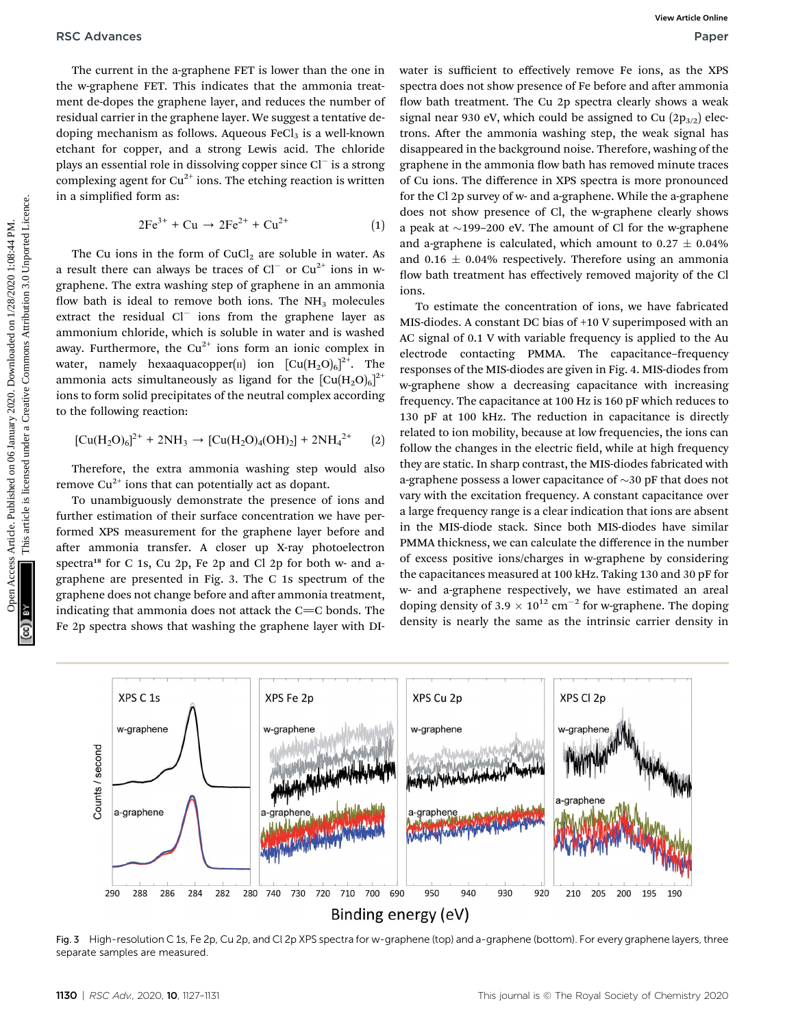The current in the a-graphene FET is lower than the one in the w-graphene FET. This indicates that the ammonia treatment de-dopes the graphene layer, and reduces the number of residual carrier in the graphene layer. We suggest a tentative dedoping mechanism as follows. Aqueous  $\text{FeCl}_3$  is a well-known etchant for copper, and a strong Lewis acid. The chloride plays an essential role in dissolving copper since  $Cl^-$  is a strong complexing agent for  $Cu^{2+}$  ions. The etching reaction is written in a simplified form as:

$$
2Fe^{3+} + Cu \rightarrow 2Fe^{2+} + Cu^{2+} \tag{1}
$$

The Cu ions in the form of  $CuCl<sub>2</sub>$  are soluble in water. As a result there can always be traces of  $Cl^-$  or  $Cu^{2+}$  ions in wgraphene. The extra washing step of graphene in an ammonia flow bath is ideal to remove both ions. The  $NH<sub>3</sub>$  molecules extract the residual  $Cl^-$  ions from the graphene layer as ammonium chloride, which is soluble in water and is washed away. Furthermore, the  $Cu^{2+}$  ions form an ionic complex in water, namely hexaaquacopper( $\scriptstyle\rm II$ ) ion  $\rm [Cu(H_2O)_6]^{2+}.$  The ammonia acts simultaneously as ligand for the  $\rm [Cu(H_2O)_6]^{2+}$ ions to form solid precipitates of the neutral complex according to the following reaction:

$$
[Cu(H2O)6]2+ + 2NH3 \rightarrow [Cu(H2O)4(OH)2] + 2NH42+ (2)
$$

Therefore, the extra ammonia washing step would also remove  $Cu^{2+}$  ions that can potentially act as dopant.

To unambiguously demonstrate the presence of ions and further estimation of their surface concentration we have performed XPS measurement for the graphene layer before and after ammonia transfer. A closer up X-ray photoelectron spectra<sup>18</sup> for C 1s, Cu 2p, Fe 2p and Cl 2p for both w- and agraphene are presented in Fig. 3. The C 1s spectrum of the graphene does not change before and after ammonia treatment, indicating that ammonia does not attack the  $C=C$  bonds. The Fe 2p spectra shows that washing the graphene layer with DI-

water is sufficient to effectively remove Fe ions, as the XPS spectra does not show presence of Fe before and after ammonia flow bath treatment. The Cu 2p spectra clearly shows a weak signal near 930 eV, which could be assigned to Cu  $(2p_{3/2})$  electrons. After the ammonia washing step, the weak signal has disappeared in the background noise. Therefore, washing of the graphene in the ammonia flow bath has removed minute traces of Cu ions. The difference in XPS spectra is more pronounced for the Cl 2p survey of w- and a-graphene. While the a-graphene does not show presence of Cl, the w-graphene clearly shows a peak at  $\sim$ 199–200 eV. The amount of Cl for the w-graphene and a-graphene is calculated, which amount to  $0.27 \pm 0.04\%$ and 0.16  $\pm$  0.04% respectively. Therefore using an ammonia flow bath treatment has effectively removed majority of the Cl ions.

To estimate the concentration of ions, we have fabricated MIS-diodes. A constant DC bias of +10 V superimposed with an AC signal of 0.1 V with variable frequency is applied to the Au electrode contacting PMMA. The capacitance–frequency responses of the MIS-diodes are given in Fig. 4. MIS-diodes from w-graphene show a decreasing capacitance with increasing frequency. The capacitance at 100 Hz is 160 pF which reduces to 130 pF at 100 kHz. The reduction in capacitance is directly related to ion mobility, because at low frequencies, the ions can follow the changes in the electric field, while at high frequency they are static. In sharp contrast, the MIS-diodes fabricated with a-graphene possess a lower capacitance of  $\sim$ 30 pF that does not vary with the excitation frequency. A constant capacitance over a large frequency range is a clear indication that ions are absent in the MIS-diode stack. Since both MIS-diodes have similar PMMA thickness, we can calculate the difference in the number of excess positive ions/charges in w-graphene by considering the capacitances measured at 100 kHz. Taking 130 and 30 pF for w- and a-graphene respectively, we have estimated an areal doping density of 3.9  $\times$  10<sup>12</sup> cm<sup>-2</sup> for w-graphene. The doping density is nearly the same as the intrinsic carrier density in RSC Advances Articles Articles Articles. The operator in the system are the system of the published on 1/28/2020 1/28/2020 1/28/2020 1/28/2020 1/28/2020 1/28/2020 1/28/2020 1/28/2020 1/28/2020 1/28/2020 1/28/2020 1/28/202



Fig. 3 High-resolution C 1s, Fe 2p, Cu 2p, and Cl 2p XPS spectra for w-graphene (top) and a-graphene (bottom). For every graphene layers, three separate samples are measured.